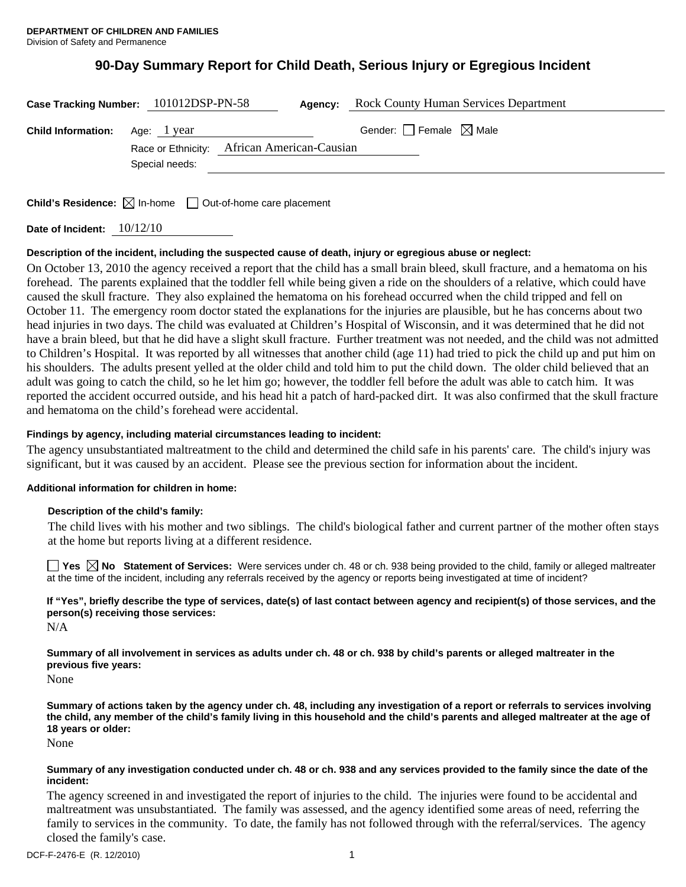# **90-Day Summary Report for Child Death, Serious Injury or Egregious Incident**

| Case Tracking Number: 101012DSP-PN-58 |                |                                             | <b>Agency:</b> Rock County Human Services Department |
|---------------------------------------|----------------|---------------------------------------------|------------------------------------------------------|
| <b>Child Information:</b> Age: 1 year |                | Race or Ethnicity: African American-Causian | Gender: $\Box$ Female $\boxtimes$ Male               |
|                                       | Special needs: |                                             |                                                      |
|                                       |                |                                             |                                                      |

**Child's Residence:**  $\boxtimes$  In-home  $\Box$  Out-of-home care placement

**Date of Incident:** 10/12/10

# **Description of the incident, including the suspected cause of death, injury or egregious abuse or neglect:**

On October 13, 2010 the agency received a report that the child has a small brain bleed, skull fracture, and a hematoma on his forehead. The parents explained that the toddler fell while being given a ride on the shoulders of a relative, which could have caused the skull fracture. They also explained the hematoma on his forehead occurred when the child tripped and fell on October 11. The emergency room doctor stated the explanations for the injuries are plausible, but he has concerns about two head injuries in two days. The child was evaluated at Children's Hospital of Wisconsin, and it was determined that he did not have a brain bleed, but that he did have a slight skull fracture. Further treatment was not needed, and the child was not admitted to Children's Hospital. It was reported by all witnesses that another child (age 11) had tried to pick the child up and put him on his shoulders. The adults present yelled at the older child and told him to put the child down. The older child believed that an adult was going to catch the child, so he let him go; however, the toddler fell before the adult was able to catch him. It was reported the accident occurred outside, and his head hit a patch of hard-packed dirt. It was also confirmed that the skull fracture and hematoma on the child's forehead were accidental.

# **Findings by agency, including material circumstances leading to incident:**

The agency unsubstantiated maltreatment to the child and determined the child safe in his parents' care. The child's injury was significant, but it was caused by an accident. Please see the previous section for information about the incident.

# **Additional information for children in home:**

# **Description of the child's family:**

 The child lives with his mother and two siblings. The child's biological father and current partner of the mother often stays at the home but reports living at a different residence.

**Yes No Statement of Services:** Were services under ch. 48 or ch. 938 being provided to the child, family or alleged maltreater at the time of the incident, including any referrals received by the agency or reports being investigated at time of incident?

**If "Yes", briefly describe the type of services, date(s) of last contact between agency and recipient(s) of those services, and the person(s) receiving those services:** 

N/A

**Summary of all involvement in services as adults under ch. 48 or ch. 938 by child's parents or alleged maltreater in the previous five years:** 

None

**Summary of actions taken by the agency under ch. 48, including any investigation of a report or referrals to services involving the child, any member of the child's family living in this household and the child's parents and alleged maltreater at the age of 18 years or older:** 

None

## **Summary of any investigation conducted under ch. 48 or ch. 938 and any services provided to the family since the date of the incident:**

The agency screened in and investigated the report of injuries to the child. The injuries were found to be accidental and maltreatment was unsubstantiated. The family was assessed, and the agency identified some areas of need, referring the family to services in the community. To date, the family has not followed through with the referral/services. The agency closed the family's case.